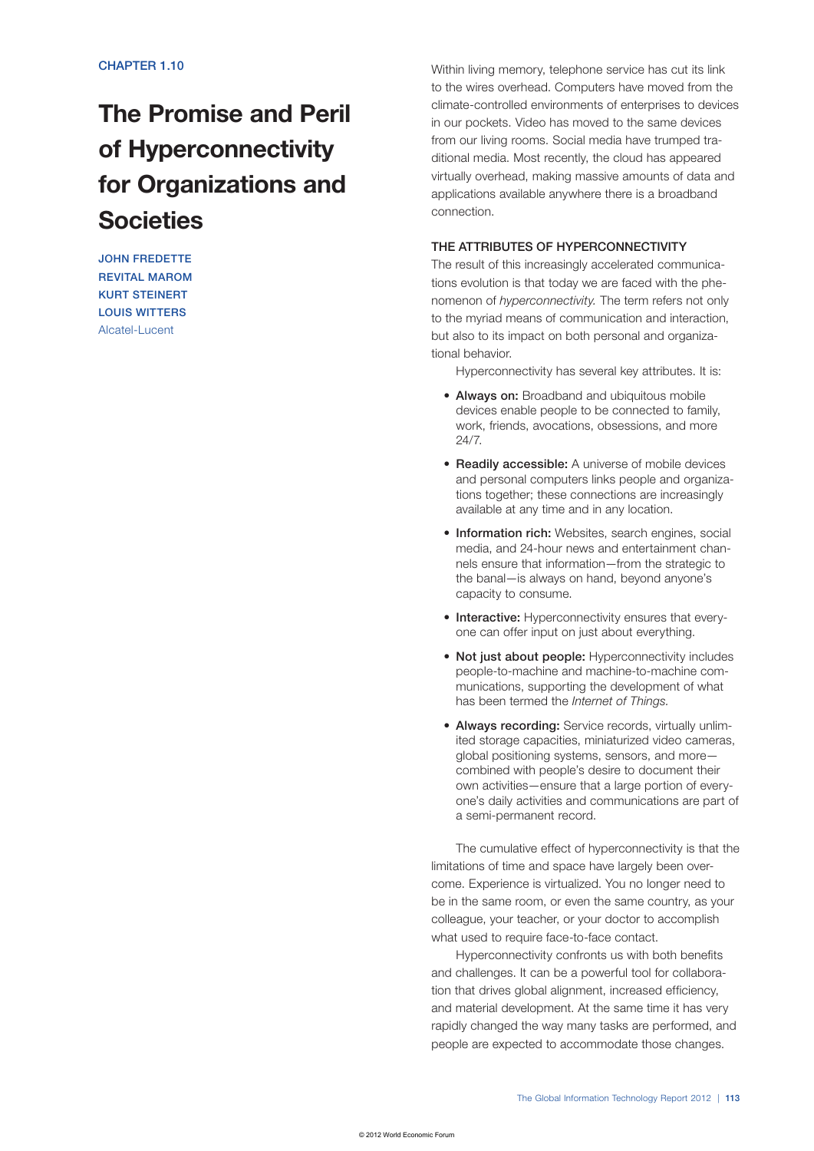# The Promise and Peril of Hyperconnectivity for Organizations and Societies

JOHN FREDETTE REVITAL MAROM KURT STEINERT LOUIS WITTERS Alcatel-Lucent

Within living memory, telephone service has cut its link to the wires overhead. Computers have moved from the climate-controlled environments of enterprises to devices in our pockets. Video has moved to the same devices from our living rooms. Social media have trumped traditional media. Most recently, the cloud has appeared virtually overhead, making massive amounts of data and applications available anywhere there is a broadband connection.

## THE ATTRIBUTES OF HYPERCONNECTIVITY

The result of this increasingly accelerated communications evolution is that today we are faced with the phenomenon of *hyperconnectivity.* The term refers not only to the myriad means of communication and interaction, but also to its impact on both personal and organizational behavior.

Hyperconnectivity has several key attributes. It is:

- Always on: Broadband and ubiquitous mobile devices enable people to be connected to family, work, friends, avocations, obsessions, and more 24/7.
- Readily accessible: A universe of mobile devices and personal computers links people and organizations together; these connections are increasingly available at any time and in any location.
- Information rich: Websites, search engines, social media, and 24-hour news and entertainment channels ensure that information—from the strategic to the banal—is always on hand, beyond anyone's capacity to consume.
- Interactive: Hyperconnectivity ensures that everyone can offer input on just about everything.
- Not just about people: Hyperconnectivity includes people-to-machine and machine-to-machine communications, supporting the development of what has been termed the *Internet of Things.*
- Always recording: Service records, virtually unlimited storage capacities, miniaturized video cameras, global positioning systems, sensors, and more combined with people's desire to document their own activities—ensure that a large portion of everyone's daily activities and communications are part of a semi-permanent record.

The cumulative effect of hyperconnectivity is that the limitations of time and space have largely been overcome. Experience is virtualized. You no longer need to be in the same room, or even the same country, as your colleague, your teacher, or your doctor to accomplish what used to require face-to-face contact.

Hyperconnectivity confronts us with both benefits and challenges. It can be a powerful tool for collaboration that drives global alignment, increased efficiency, and material development. At the same time it has very rapidly changed the way many tasks are performed, and people are expected to accommodate those changes.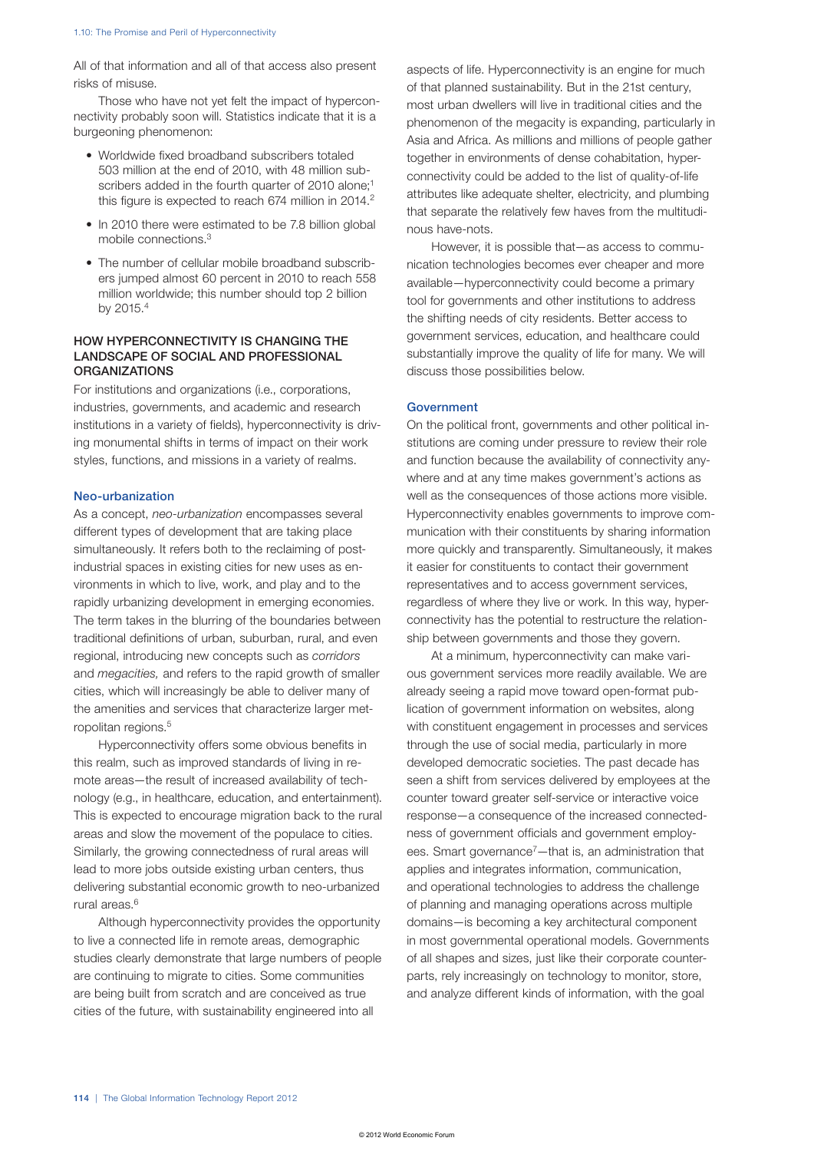All of that information and all of that access also present risks of misuse.

Those who have not yet felt the impact of hyperconnectivity probably soon will. Statistics indicate that it is a burgeoning phenomenon:

- Worldwide fixed broadband subscribers totaled 503 million at the end of 2010, with 48 million subscribers added in the fourth quarter of 2010 alone;<sup>1</sup> this figure is expected to reach 674 million in 2014.<sup>2</sup>
- In 2010 there were estimated to be 7.8 billion global mobile connections.3
- The number of cellular mobile broadband subscribers jumped almost 60 percent in 2010 to reach 558 million worldwide; this number should top 2 billion by 2015.4

### HOW HYPERCONNECTIVITY IS CHANGING THE LANDSCAPE OF SOCIAL AND PROFESSIONAL **ORGANIZATIONS**

For institutions and organizations (i.e., corporations, industries, governments, and academic and research institutions in a variety of fields), hyperconnectivity is driving monumental shifts in terms of impact on their work styles, functions, and missions in a variety of realms.

### Neo-urbanization

As a concept, *neo-urbanization* encompasses several different types of development that are taking place simultaneously. It refers both to the reclaiming of postindustrial spaces in existing cities for new uses as environments in which to live, work, and play and to the rapidly urbanizing development in emerging economies. The term takes in the blurring of the boundaries between traditional definitions of urban, suburban, rural, and even regional, introducing new concepts such as *corridors* and *megacities,* and refers to the rapid growth of smaller cities, which will increasingly be able to deliver many of the amenities and services that characterize larger metropolitan regions.<sup>5</sup>

Hyperconnectivity offers some obvious benefits in this realm, such as improved standards of living in remote areas—the result of increased availability of technology (e.g., in healthcare, education, and entertainment). This is expected to encourage migration back to the rural areas and slow the movement of the populace to cities. Similarly, the growing connectedness of rural areas will lead to more jobs outside existing urban centers, thus delivering substantial economic growth to neo-urbanized rural areas.6

Although hyperconnectivity provides the opportunity to live a connected life in remote areas, demographic studies clearly demonstrate that large numbers of people are continuing to migrate to cities. Some communities are being built from scratch and are conceived as true cities of the future, with sustainability engineered into all

aspects of life. Hyperconnectivity is an engine for much of that planned sustainability. But in the 21st century, most urban dwellers will live in traditional cities and the phenomenon of the megacity is expanding, particularly in Asia and Africa. As millions and millions of people gather together in environments of dense cohabitation, hyperconnectivity could be added to the list of quality-of-life attributes like adequate shelter, electricity, and plumbing that separate the relatively few haves from the multitudinous have-nots.

However, it is possible that—as access to communication technologies becomes ever cheaper and more available—hyperconnectivity could become a primary tool for governments and other institutions to address the shifting needs of city residents. Better access to government services, education, and healthcare could substantially improve the quality of life for many. We will discuss those possibilities below.

#### Government

On the political front, governments and other political institutions are coming under pressure to review their role and function because the availability of connectivity anywhere and at any time makes government's actions as well as the consequences of those actions more visible. Hyperconnectivity enables governments to improve communication with their constituents by sharing information more quickly and transparently. Simultaneously, it makes it easier for constituents to contact their government representatives and to access government services, regardless of where they live or work. In this way, hyperconnectivity has the potential to restructure the relationship between governments and those they govern.

At a minimum, hyperconnectivity can make various government services more readily available. We are already seeing a rapid move toward open-format publication of government information on websites, along with constituent engagement in processes and services through the use of social media, particularly in more developed democratic societies. The past decade has seen a shift from services delivered by employees at the counter toward greater self-service or interactive voice response—a consequence of the increased connectedness of government officials and government employees. Smart governance<sup>7</sup>—that is, an administration that applies and integrates information, communication, and operational technologies to address the challenge of planning and managing operations across multiple domains—is becoming a key architectural component in most governmental operational models. Governments of all shapes and sizes, just like their corporate counterparts, rely increasingly on technology to monitor, store, and analyze different kinds of information, with the goal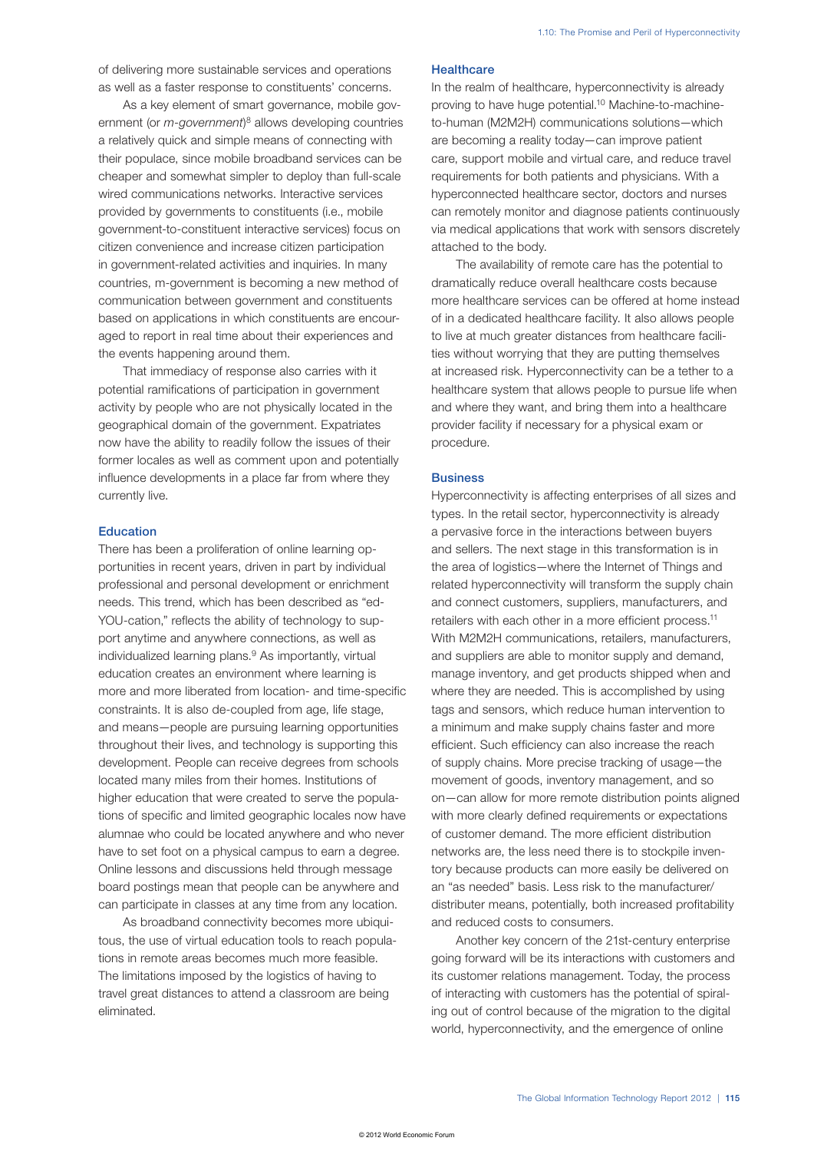of delivering more sustainable services and operations as well as a faster response to constituents' concerns.

As a key element of smart governance, mobile government (or *m-government*) 8 allows developing countries a relatively quick and simple means of connecting with their populace, since mobile broadband services can be cheaper and somewhat simpler to deploy than full-scale wired communications networks. Interactive services provided by governments to constituents (i.e., mobile government-to-constituent interactive services) focus on citizen convenience and increase citizen participation in government-related activities and inquiries. In many countries, m-government is becoming a new method of communication between government and constituents based on applications in which constituents are encouraged to report in real time about their experiences and the events happening around them.

That immediacy of response also carries with it potential ramifications of participation in government activity by people who are not physically located in the geographical domain of the government. Expatriates now have the ability to readily follow the issues of their former locales as well as comment upon and potentially influence developments in a place far from where they currently live.

## Education

There has been a proliferation of online learning opportunities in recent years, driven in part by individual professional and personal development or enrichment needs. This trend, which has been described as "ed-YOU-cation," reflects the ability of technology to support anytime and anywhere connections, as well as individualized learning plans.<sup>9</sup> As importantly, virtual education creates an environment where learning is more and more liberated from location- and time-specific constraints. It is also de-coupled from age, life stage, and means—people are pursuing learning opportunities throughout their lives, and technology is supporting this development. People can receive degrees from schools located many miles from their homes. Institutions of higher education that were created to serve the populations of specific and limited geographic locales now have alumnae who could be located anywhere and who never have to set foot on a physical campus to earn a degree. Online lessons and discussions held through message board postings mean that people can be anywhere and can participate in classes at any time from any location.

As broadband connectivity becomes more ubiquitous, the use of virtual education tools to reach populations in remote areas becomes much more feasible. The limitations imposed by the logistics of having to travel great distances to attend a classroom are being eliminated.

#### **Healthcare**

In the realm of healthcare, hyperconnectivity is already proving to have huge potential.10 Machine-to-machineto-human (M2M2H) communications solutions—which are becoming a reality today—can improve patient care, support mobile and virtual care, and reduce travel requirements for both patients and physicians. With a hyperconnected healthcare sector, doctors and nurses can remotely monitor and diagnose patients continuously via medical applications that work with sensors discretely attached to the body.

The availability of remote care has the potential to dramatically reduce overall healthcare costs because more healthcare services can be offered at home instead of in a dedicated healthcare facility. It also allows people to live at much greater distances from healthcare facilities without worrying that they are putting themselves at increased risk. Hyperconnectivity can be a tether to a healthcare system that allows people to pursue life when and where they want, and bring them into a healthcare provider facility if necessary for a physical exam or procedure.

#### **Business**

Hyperconnectivity is affecting enterprises of all sizes and types. In the retail sector, hyperconnectivity is already a pervasive force in the interactions between buyers and sellers. The next stage in this transformation is in the area of logistics—where the Internet of Things and related hyperconnectivity will transform the supply chain and connect customers, suppliers, manufacturers, and retailers with each other in a more efficient process.<sup>11</sup> With M2M2H communications, retailers, manufacturers, and suppliers are able to monitor supply and demand, manage inventory, and get products shipped when and where they are needed. This is accomplished by using tags and sensors, which reduce human intervention to a minimum and make supply chains faster and more efficient. Such efficiency can also increase the reach of supply chains. More precise tracking of usage—the movement of goods, inventory management, and so on—can allow for more remote distribution points aligned with more clearly defined requirements or expectations of customer demand. The more efficient distribution networks are, the less need there is to stockpile inventory because products can more easily be delivered on an "as needed" basis. Less risk to the manufacturer/ distributer means, potentially, both increased profitability and reduced costs to consumers.

Another key concern of the 21st-century enterprise going forward will be its interactions with customers and its customer relations management. Today, the process of interacting with customers has the potential of spiraling out of control because of the migration to the digital world, hyperconnectivity, and the emergence of online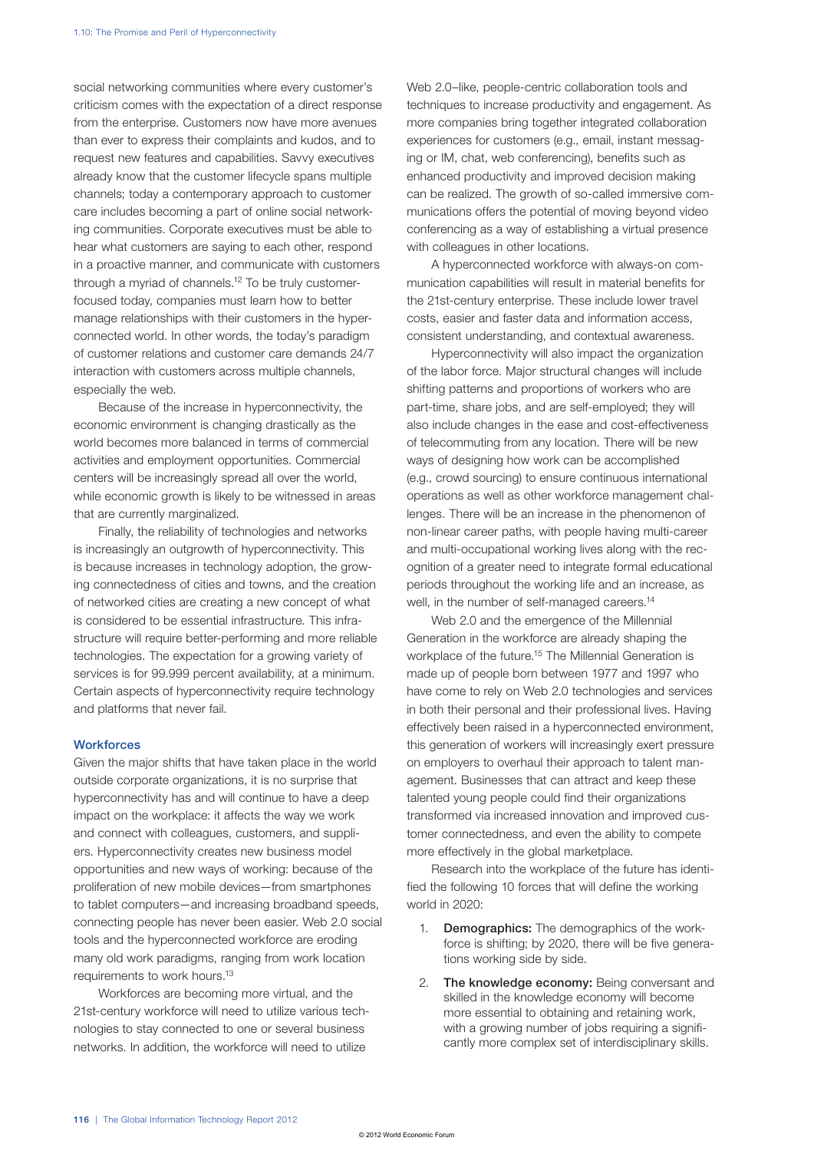social networking communities where every customer's criticism comes with the expectation of a direct response from the enterprise. Customers now have more avenues than ever to express their complaints and kudos, and to request new features and capabilities. Savvy executives already know that the customer lifecycle spans multiple channels; today a contemporary approach to customer care includes becoming a part of online social networking communities. Corporate executives must be able to hear what customers are saying to each other, respond in a proactive manner, and communicate with customers through a myriad of channels.12 To be truly customerfocused today, companies must learn how to better manage relationships with their customers in the hyperconnected world. In other words, the today's paradigm of customer relations and customer care demands 24/7 interaction with customers across multiple channels, especially the web.

Because of the increase in hyperconnectivity, the economic environment is changing drastically as the world becomes more balanced in terms of commercial activities and employment opportunities. Commercial centers will be increasingly spread all over the world, while economic growth is likely to be witnessed in areas that are currently marginalized.

Finally, the reliability of technologies and networks is increasingly an outgrowth of hyperconnectivity. This is because increases in technology adoption, the growing connectedness of cities and towns, and the creation of networked cities are creating a new concept of what is considered to be essential infrastructure. This infrastructure will require better-performing and more reliable technologies. The expectation for a growing variety of services is for 99.999 percent availability, at a minimum. Certain aspects of hyperconnectivity require technology and platforms that never fail.

#### **Workforces**

Given the major shifts that have taken place in the world outside corporate organizations, it is no surprise that hyperconnectivity has and will continue to have a deep impact on the workplace: it affects the way we work and connect with colleagues, customers, and suppliers. Hyperconnectivity creates new business model opportunities and new ways of working: because of the proliferation of new mobile devices—from smartphones to tablet computers—and increasing broadband speeds, connecting people has never been easier. Web 2.0 social tools and the hyperconnected workforce are eroding many old work paradigms, ranging from work location requirements to work hours.13

Workforces are becoming more virtual, and the 21st-century workforce will need to utilize various technologies to stay connected to one or several business networks. In addition, the workforce will need to utilize

Web 2.0–like, people-centric collaboration tools and techniques to increase productivity and engagement. As more companies bring together integrated collaboration experiences for customers (e.g., email, instant messaging or IM, chat, web conferencing), benefits such as enhanced productivity and improved decision making can be realized. The growth of so-called immersive communications offers the potential of moving beyond video conferencing as a way of establishing a virtual presence with colleagues in other locations.

A hyperconnected workforce with always-on communication capabilities will result in material benefits for the 21st-century enterprise. These include lower travel costs, easier and faster data and information access, consistent understanding, and contextual awareness.

Hyperconnectivity will also impact the organization of the labor force. Major structural changes will include shifting patterns and proportions of workers who are part-time, share jobs, and are self-employed; they will also include changes in the ease and cost-effectiveness of telecommuting from any location. There will be new ways of designing how work can be accomplished (e.g., crowd sourcing) to ensure continuous international operations as well as other workforce management challenges. There will be an increase in the phenomenon of non-linear career paths, with people having multi-career and multi-occupational working lives along with the recognition of a greater need to integrate formal educational periods throughout the working life and an increase, as well, in the number of self-managed careers.<sup>14</sup>

Web 2.0 and the emergence of the Millennial Generation in the workforce are already shaping the workplace of the future.15 The Millennial Generation is made up of people born between 1977 and 1997 who have come to rely on Web 2.0 technologies and services in both their personal and their professional lives. Having effectively been raised in a hyperconnected environment, this generation of workers will increasingly exert pressure on employers to overhaul their approach to talent management. Businesses that can attract and keep these talented young people could find their organizations transformed via increased innovation and improved customer connectedness, and even the ability to compete more effectively in the global marketplace.

Research into the workplace of the future has identified the following 10 forces that will define the working world in 2020:

- 1. **Demographics:** The demographics of the workforce is shifting; by 2020, there will be five generations working side by side.
- 2. The knowledge economy: Being conversant and skilled in the knowledge economy will become more essential to obtaining and retaining work, with a growing number of jobs requiring a significantly more complex set of interdisciplinary skills.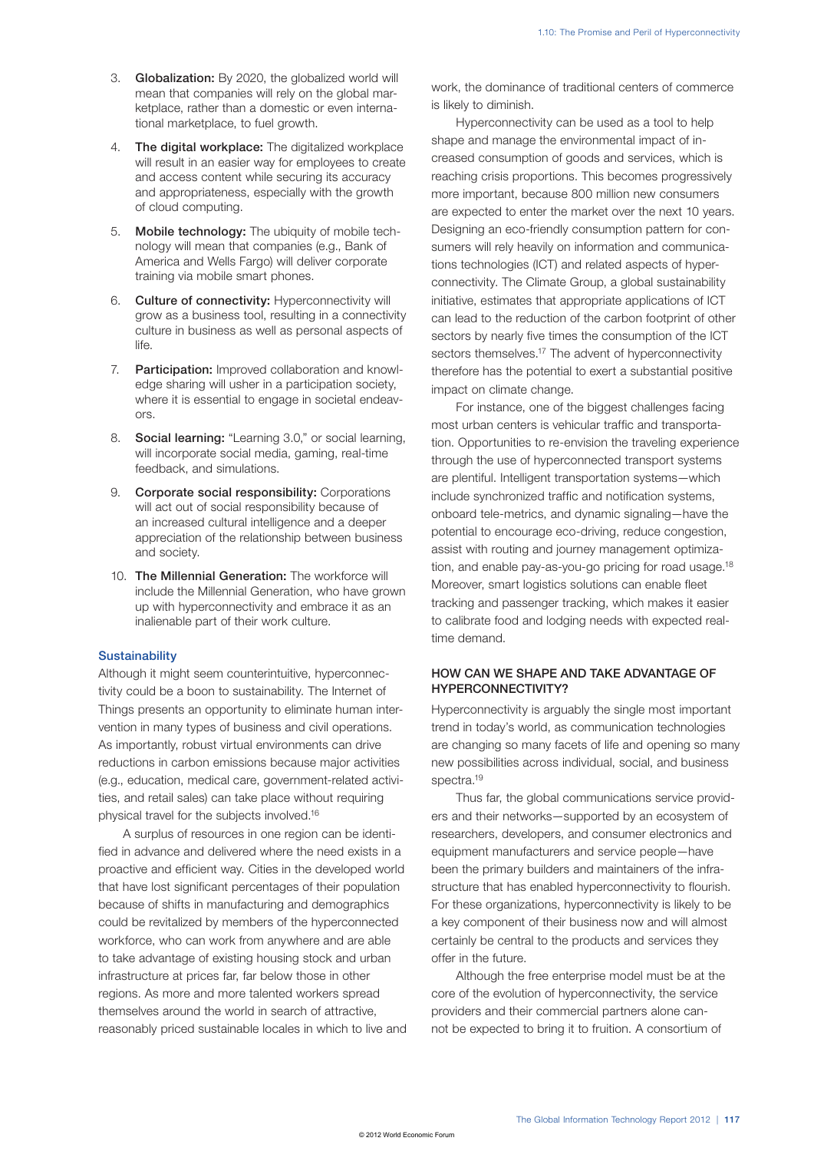- 3. Globalization: By 2020, the globalized world will mean that companies will rely on the global marketplace, rather than a domestic or even international marketplace, to fuel growth.
- 4. The digital workplace: The digitalized workplace will result in an easier way for employees to create and access content while securing its accuracy and appropriateness, especially with the growth of cloud computing.
- 5. Mobile technology: The ubiquity of mobile technology will mean that companies (e.g., Bank of America and Wells Fargo) will deliver corporate training via mobile smart phones.
- 6. Culture of connectivity: Hyperconnectivity will grow as a business tool, resulting in a connectivity culture in business as well as personal aspects of life.
- 7. Participation: Improved collaboration and knowledge sharing will usher in a participation society, where it is essential to engage in societal endeavors.
- 8. Social learning: "Learning 3.0," or social learning, will incorporate social media, gaming, real-time feedback, and simulations.
- 9. Corporate social responsibility: Corporations will act out of social responsibility because of an increased cultural intelligence and a deeper appreciation of the relationship between business and society.
- 10. The Millennial Generation: The workforce will include the Millennial Generation, who have grown up with hyperconnectivity and embrace it as an inalienable part of their work culture.

#### **Sustainability**

Although it might seem counterintuitive, hyperconnectivity could be a boon to sustainability. The Internet of Things presents an opportunity to eliminate human intervention in many types of business and civil operations. As importantly, robust virtual environments can drive reductions in carbon emissions because major activities (e.g., education, medical care, government-related activities, and retail sales) can take place without requiring physical travel for the subjects involved.16

A surplus of resources in one region can be identified in advance and delivered where the need exists in a proactive and efficient way. Cities in the developed world that have lost significant percentages of their population because of shifts in manufacturing and demographics could be revitalized by members of the hyperconnected workforce, who can work from anywhere and are able to take advantage of existing housing stock and urban infrastructure at prices far, far below those in other regions. As more and more talented workers spread themselves around the world in search of attractive, reasonably priced sustainable locales in which to live and work, the dominance of traditional centers of commerce is likely to diminish.

Hyperconnectivity can be used as a tool to help shape and manage the environmental impact of increased consumption of goods and services, which is reaching crisis proportions. This becomes progressively more important, because 800 million new consumers are expected to enter the market over the next 10 years. Designing an eco-friendly consumption pattern for consumers will rely heavily on information and communications technologies (ICT) and related aspects of hyperconnectivity. The Climate Group, a global sustainability initiative, estimates that appropriate applications of ICT can lead to the reduction of the carbon footprint of other sectors by nearly five times the consumption of the ICT sectors themselves.<sup>17</sup> The advent of hyperconnectivity therefore has the potential to exert a substantial positive impact on climate change.

For instance, one of the biggest challenges facing most urban centers is vehicular traffic and transportation. Opportunities to re-envision the traveling experience through the use of hyperconnected transport systems are plentiful. Intelligent transportation systems—which include synchronized traffic and notification systems, onboard tele-metrics, and dynamic signaling—have the potential to encourage eco-driving, reduce congestion, assist with routing and journey management optimization, and enable pay-as-you-go pricing for road usage.<sup>18</sup> Moreover, smart logistics solutions can enable fleet tracking and passenger tracking, which makes it easier to calibrate food and lodging needs with expected realtime demand.

#### HOW CAN WE SHAPE AND TAKE ADVANTAGE OF HYPERCONNECTIVITY?

Hyperconnectivity is arguably the single most important trend in today's world, as communication technologies are changing so many facets of life and opening so many new possibilities across individual, social, and business spectra.<sup>19</sup>

Thus far, the global communications service providers and their networks—supported by an ecosystem of researchers, developers, and consumer electronics and equipment manufacturers and service people—have been the primary builders and maintainers of the infrastructure that has enabled hyperconnectivity to flourish. For these organizations, hyperconnectivity is likely to be a key component of their business now and will almost certainly be central to the products and services they offer in the future.

Although the free enterprise model must be at the core of the evolution of hyperconnectivity, the service providers and their commercial partners alone cannot be expected to bring it to fruition. A consortium of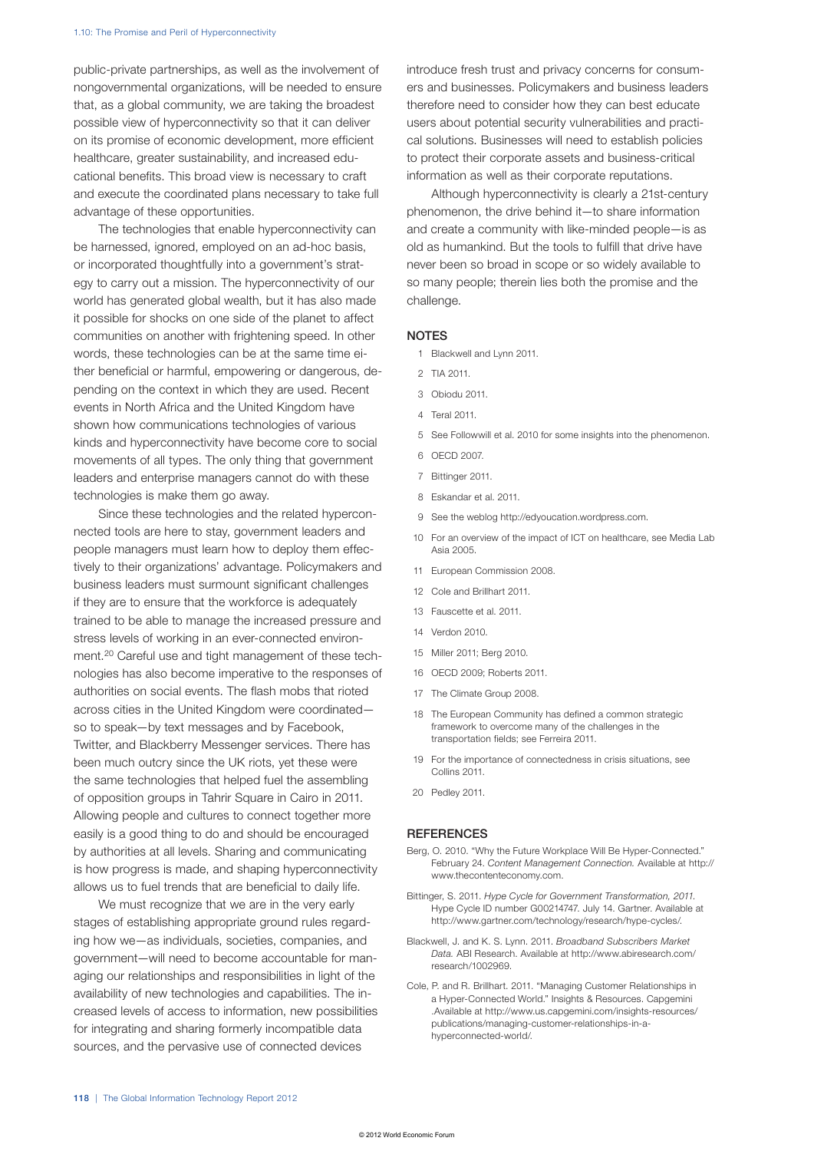public-private partnerships, as well as the involvement of nongovernmental organizations, will be needed to ensure that, as a global community, we are taking the broadest possible view of hyperconnectivity so that it can deliver on its promise of economic development, more efficient healthcare, greater sustainability, and increased educational benefits. This broad view is necessary to craft and execute the coordinated plans necessary to take full advantage of these opportunities.

The technologies that enable hyperconnectivity can be harnessed, ignored, employed on an ad-hoc basis, or incorporated thoughtfully into a government's strategy to carry out a mission. The hyperconnectivity of our world has generated global wealth, but it has also made it possible for shocks on one side of the planet to affect communities on another with frightening speed. In other words, these technologies can be at the same time either beneficial or harmful, empowering or dangerous, depending on the context in which they are used. Recent events in North Africa and the United Kingdom have shown how communications technologies of various kinds and hyperconnectivity have become core to social movements of all types. The only thing that government leaders and enterprise managers cannot do with these technologies is make them go away.

Since these technologies and the related hyperconnected tools are here to stay, government leaders and people managers must learn how to deploy them effectively to their organizations' advantage. Policymakers and business leaders must surmount significant challenges if they are to ensure that the workforce is adequately trained to be able to manage the increased pressure and stress levels of working in an ever-connected environment.20 Careful use and tight management of these technologies has also become imperative to the responses of authorities on social events. The flash mobs that rioted across cities in the United Kingdom were coordinated so to speak—by text messages and by Facebook, Twitter, and Blackberry Messenger services. There has been much outcry since the UK riots, yet these were the same technologies that helped fuel the assembling of opposition groups in Tahrir Square in Cairo in 2011. Allowing people and cultures to connect together more easily is a good thing to do and should be encouraged by authorities at all levels. Sharing and communicating is how progress is made, and shaping hyperconnectivity allows us to fuel trends that are beneficial to daily life.

We must recognize that we are in the very early stages of establishing appropriate ground rules regarding how we—as individuals, societies, companies, and government—will need to become accountable for managing our relationships and responsibilities in light of the availability of new technologies and capabilities. The increased levels of access to information, new possibilities for integrating and sharing formerly incompatible data sources, and the pervasive use of connected devices

introduce fresh trust and privacy concerns for consumers and businesses. Policymakers and business leaders therefore need to consider how they can best educate users about potential security vulnerabilities and practical solutions. Businesses will need to establish policies to protect their corporate assets and business-critical information as well as their corporate reputations.

Although hyperconnectivity is clearly a 21st-century phenomenon, the drive behind it—to share information and create a community with like-minded people—is as old as humankind. But the tools to fulfill that drive have never been so broad in scope or so widely available to so many people; therein lies both the promise and the challenge.

#### **NOTES**

- 1 Blackwell and Lynn 2011.
- 2 TIA 2011.
- 3 Obiodu 2011.
- 4 Teral 2011.
- 5 See Followwill et al. 2010 for some insights into the phenomenon.
- 6 OECD 2007.
- 7 Bittinger 2011.
- 8 Eskandar et al. 2011.
- 9 See the weblog http://edyoucation.wordpress.com.
- 10 For an overview of the impact of ICT on healthcare, see Media Lab Asia 2005.
- 11 European Commission 2008.
- 12 Cole and Brillhart 2011.
- 13 Fauscette et al. 2011.
- 14 Verdon 2010.
- 15 Miller 2011; Berg 2010.
- 16 OECD 2009; Roberts 2011.
- 17 The Climate Group 2008.
- 18 The European Community has defined a common strategic framework to overcome many of the challenges in the transportation fields; see Ferreira 2011.
- 19 For the importance of connectedness in crisis situations, see Collins 2011.
- 20 Pedley 2011.

#### **REFERENCES**

- Berg, O. 2010. "Why the Future Workplace Will Be Hyper-Connected." February 24. *Content Management Connection.* Available at http:// www.thecontenteconomy.com.
- Bittinger, S. 2011. *Hype Cycle for Government Transformation, 2011.* Hype Cycle ID number G00214747. July 14. Gartner. Available at http://www.gartner.com/technology/research/hype-cycles/.
- Blackwell, J. and K. S. Lynn. 2011. *Broadband Subscribers Market Data.* ABI Research. Available at http://www.abiresearch.com/ research/1002969.
- Cole, P. and R. Brillhart. 2011. "Managing Customer Relationships in a Hyper-Connected World." Insights & Resources. Capgemini .Available at http://www.us.capgemini.com/insights-resources/ publications/managing-customer-relationships-in-ahyperconnected-world/.